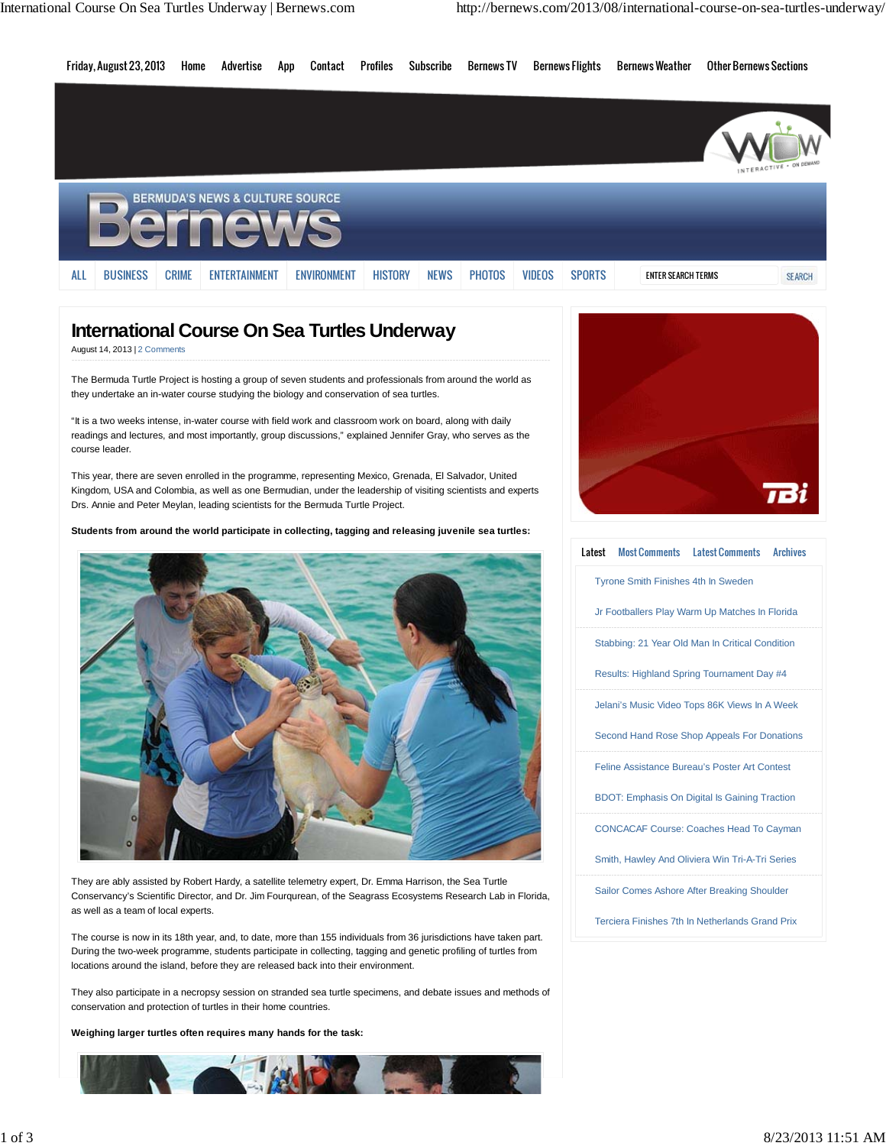